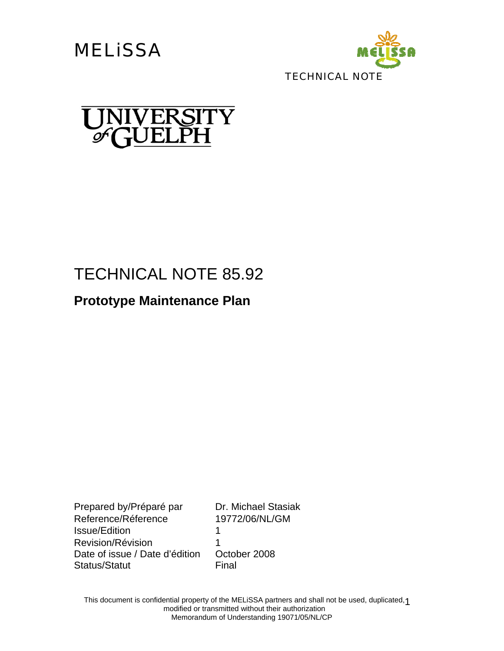**MELISSA** 





# TECHNICAL NOTE 85.92

## **Prototype Maintenance Plan**

Prepared by/Préparé par Dr. Michael Stasiak Reference/Réference 19772/06/NL/GM Issue/Edition 1 Revision/Révision 1 Date of issue / Date d'édition October 2008 Status/Statut Final

This document is confidential property of the MELiSSA partners and shall not be used, duplicated, 1 modified or transmitted without their authorization Memorandum of Understanding 19071/05/NL/CP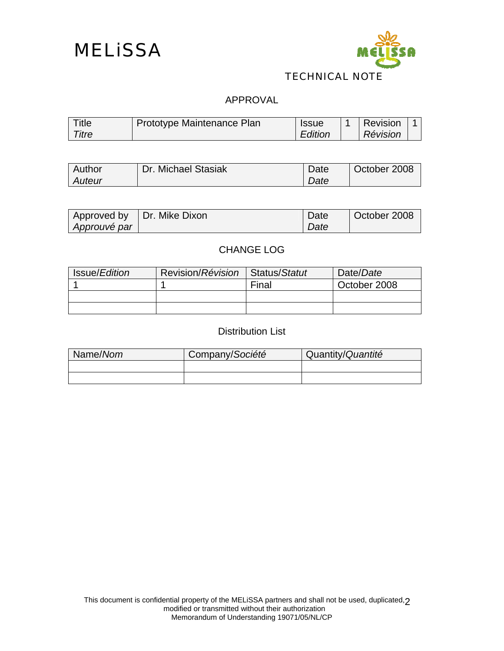



#### TECHNICAL NOTE

#### APPROVAL

| Title | Prototype Maintenance Plan | <b>Issue</b> | Revision |  |
|-------|----------------------------|--------------|----------|--|
| Titre |                            | Edition      | Révision |  |

| <b>Author</b> | Dr. Michael Stasiak | Date | October 2008 |
|---------------|---------------------|------|--------------|
| <b>Auteur</b> |                     | Date |              |

|              | Approved by   Dr. Mike Dixon | I Date | October 2008 |
|--------------|------------------------------|--------|--------------|
| Approuvé par |                              | Date   |              |

### CHANGE LOG

| Issue/Edition | Revision/Révision   Status/Statut |       | Date/Date    |
|---------------|-----------------------------------|-------|--------------|
|               |                                   | Final | October 2008 |
|               |                                   |       |              |
|               |                                   |       |              |

#### Distribution List

| Name/Nom | Company/Société | Quantity/Quantité |
|----------|-----------------|-------------------|
|          |                 |                   |
|          |                 |                   |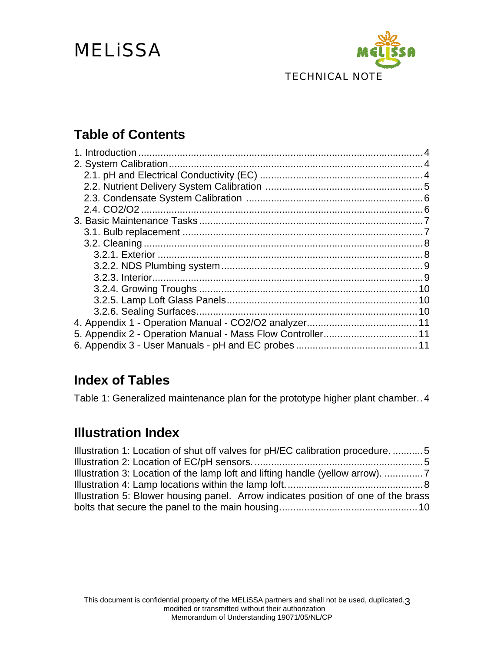# MELiSSA



## **Table of Contents**

| 5. Appendix 2 - Operation Manual - Mass Flow Controller 11 |  |
|------------------------------------------------------------|--|
|                                                            |  |

## **Index of Tables**

Table 1: Generalized maintenance plan for the prototype higher plant chamber..4

## **Illustration Index**

| Illustration 1: Location of shut off valves for pH/EC calibration procedure. 5     |  |
|------------------------------------------------------------------------------------|--|
|                                                                                    |  |
| Illustration 3: Location of the lamp loft and lifting handle (yellow arrow).       |  |
|                                                                                    |  |
| Illustration 5: Blower housing panel. Arrow indicates position of one of the brass |  |
|                                                                                    |  |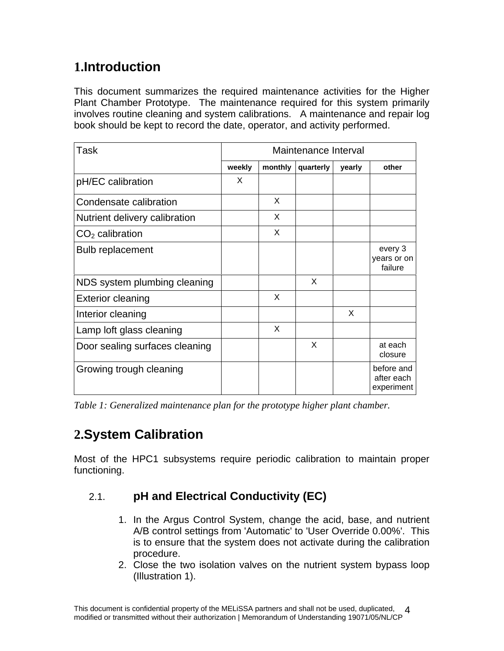## **1.Introduction**

This document summarizes the required maintenance activities for the Higher Plant Chamber Prototype. The maintenance required for this system primarily involves routine cleaning and system calibrations. A maintenance and repair log book should be kept to record the date, operator, and activity performed.

| Task                           | Maintenance Interval |         |           |          |                                        |  |
|--------------------------------|----------------------|---------|-----------|----------|----------------------------------------|--|
|                                | weekly               | monthly | quarterly | yearly   | other                                  |  |
| pH/EC calibration              | X                    |         |           |          |                                        |  |
| Condensate calibration         |                      | X       |           |          |                                        |  |
| Nutrient delivery calibration  |                      | X       |           |          |                                        |  |
| $CO2$ calibration              |                      | X       |           |          |                                        |  |
| <b>Bulb replacement</b>        |                      |         |           |          | every 3<br>years or on<br>failure      |  |
| NDS system plumbing cleaning   |                      |         | $\times$  |          |                                        |  |
| <b>Exterior cleaning</b>       |                      | X       |           |          |                                        |  |
| Interior cleaning              |                      |         |           | $\times$ |                                        |  |
| Lamp loft glass cleaning       |                      | X       |           |          |                                        |  |
| Door sealing surfaces cleaning |                      |         | X         |          | at each<br>closure                     |  |
| Growing trough cleaning        |                      |         |           |          | before and<br>after each<br>experiment |  |

*Table 1: Generalized maintenance plan for the prototype higher plant chamber.* 

## **2.System Calibration**

Most of the HPC1 subsystems require periodic calibration to maintain proper functioning.

### 2.1. **pH and Electrical Conductivity (EC)**

- 1. In the Argus Control System, change the acid, base, and nutrient A/B control settings from 'Automatic' to 'User Override 0.00%'. This is to ensure that the system does not activate during the calibration procedure.
- 2. Close the two isolation valves on the nutrient system bypass loop (Illustration 1).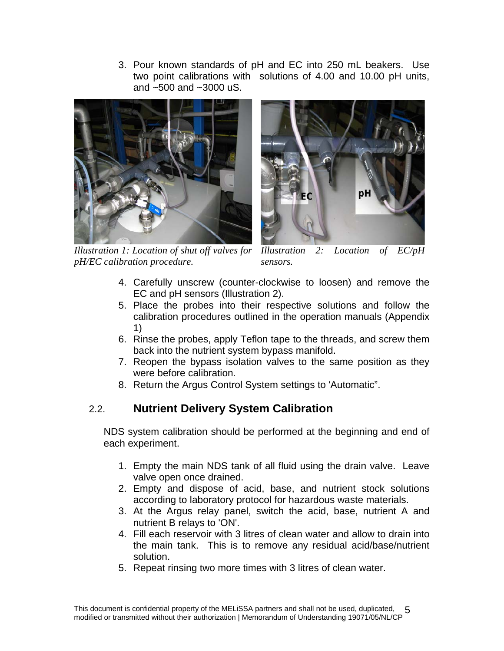3. Pour known standards of pH and EC into 250 mL beakers. Use two point calibrations with solutions of 4.00 and 10.00 pH units, and ~500 and ~3000 uS.



*Illustration 1: Location of shut off valves for pH/EC calibration procedure.* 



*Location of EC/pH sensors.* 

- 4. Carefully unscrew (counter-clockwise to loosen) and remove the EC and pH sensors (Illustration 2).
- 5. Place the probes into their respective solutions and follow the calibration procedures outlined in the operation manuals (Appendix 1)
- 6. Rinse the probes, apply Teflon tape to the threads, and screw them back into the nutrient system bypass manifold.
- 7. Reopen the bypass isolation valves to the same position as they were before calibration.
- 8. Return the Argus Control System settings to 'Automatic".

### 2.2. **Nutrient Delivery System Calibration**

NDS system calibration should be performed at the beginning and end of each experiment.

- 1. Empty the main NDS tank of all fluid using the drain valve. Leave valve open once drained.
- 2. Empty and dispose of acid, base, and nutrient stock solutions according to laboratory protocol for hazardous waste materials.
- 3. At the Argus relay panel, switch the acid, base, nutrient A and nutrient B relays to 'ON'.
- 4. Fill each reservoir with 3 litres of clean water and allow to drain into the main tank. This is to remove any residual acid/base/nutrient solution.
- 5. Repeat rinsing two more times with 3 litres of clean water.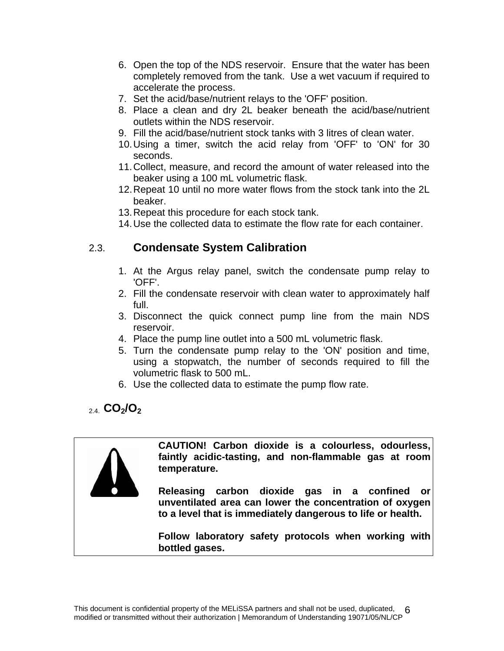- 6. Open the top of the NDS reservoir. Ensure that the water has been completely removed from the tank. Use a wet vacuum if required to accelerate the process.
- 7. Set the acid/base/nutrient relays to the 'OFF' position.
- 8. Place a clean and dry 2L beaker beneath the acid/base/nutrient outlets within the NDS reservoir.
- 9. Fill the acid/base/nutrient stock tanks with 3 litres of clean water.
- 10. Using a timer, switch the acid relay from 'OFF' to 'ON' for 30 seconds.
- 11. Collect, measure, and record the amount of water released into the beaker using a 100 mL volumetric flask.
- 12. Repeat 10 until no more water flows from the stock tank into the 2L beaker.
- 13. Repeat this procedure for each stock tank.
- 14. Use the collected data to estimate the flow rate for each container.

### 2.3. **Condensate System Calibration**

- 1. At the Argus relay panel, switch the condensate pump relay to 'OFF'.
- 2. Fill the condensate reservoir with clean water to approximately half full.
- 3. Disconnect the quick connect pump line from the main NDS reservoir.
- 4. Place the pump line outlet into a 500 mL volumetric flask.
- 5. Turn the condensate pump relay to the 'ON' position and time, using a stopwatch, the number of seconds required to fill the volumetric flask to 500 mL.
- 6. Use the collected data to estimate the pump flow rate.

### 2.4. **CO2/O2**



**CAUTION! Carbon dioxide is a colourless, odourless, faintly acidic-tasting, and non-flammable gas at room temperature.** 

**Releasing carbon dioxide gas in a confined or unventilated area can lower the concentration of oxygen to a level that is immediately dangerous to life or health.** 

**Follow laboratory safety protocols when working with bottled gases.**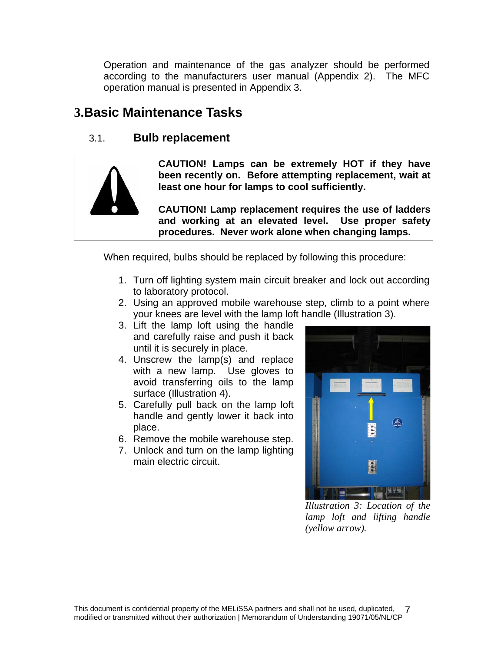Operation and maintenance of the gas analyzer should be performed according to the manufacturers user manual (Appendix 2). The MFC operation manual is presented in Appendix 3.

## **3.Basic Maintenance Tasks**

### 3.1. **Bulb replacement**



**CAUTION! Lamps can be extremely HOT if they have been recently on. Before attempting replacement, wait at least one hour for lamps to cool sufficiently.** 

**CAUTION! Lamp replacement requires the use of ladders and working at an elevated level. Use proper safety procedures. Never work alone when changing lamps.** 

When required, bulbs should be replaced by following this procedure:

- 1. Turn off lighting system main circuit breaker and lock out according to laboratory protocol.
- 2. Using an approved mobile warehouse step, climb to a point where your knees are level with the lamp loft handle (Illustration 3).
- 3. Lift the lamp loft using the handle and carefully raise and push it back until it is securely in place.
- 4. Unscrew the lamp(s) and replace with a new lamp. Use gloves to avoid transferring oils to the lamp surface (Illustration 4).
- 5. Carefully pull back on the lamp loft handle and gently lower it back into place.
- 6. Remove the mobile warehouse step.
- 7. Unlock and turn on the lamp lighting main electric circuit.



*Illustration 3: Location of the lamp loft and lifting handle (yellow arrow).*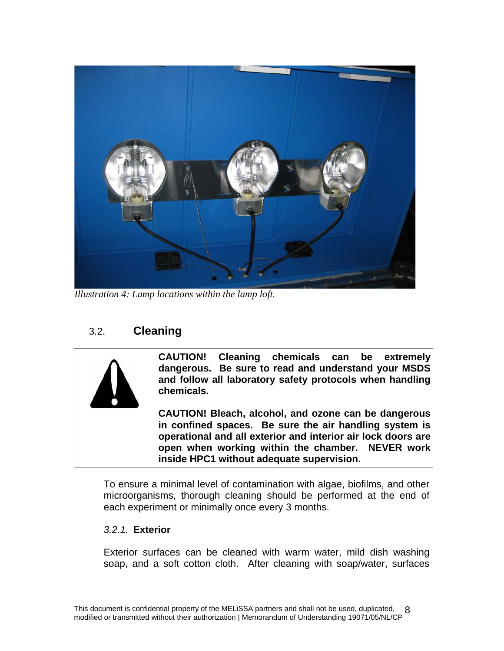

*Illustration 4: Lamp locations within the lamp loft.* 

### 3.2. **Cleaning**



**CAUTION! Cleaning chemicals can be extremely dangerous. Be sure to read and understand your MSDS and follow all laboratory safety protocols when handling chemicals.** 

**CAUTION! Bleach, alcohol, and ozone can be dangerous in confined spaces. Be sure the air handling system is operational and all exterior and interior air lock doors are open when working within the chamber. NEVER work inside HPC1 without adequate supervision.** 

To ensure a minimal level of contamination with algae, biofilms, and other microorganisms, thorough cleaning should be performed at the end of each experiment or minimally once every 3 months.

#### *3.2.1.* **Exterior**

Exterior surfaces can be cleaned with warm water, mild dish washing soap, and a soft cotton cloth. After cleaning with soap/water, surfaces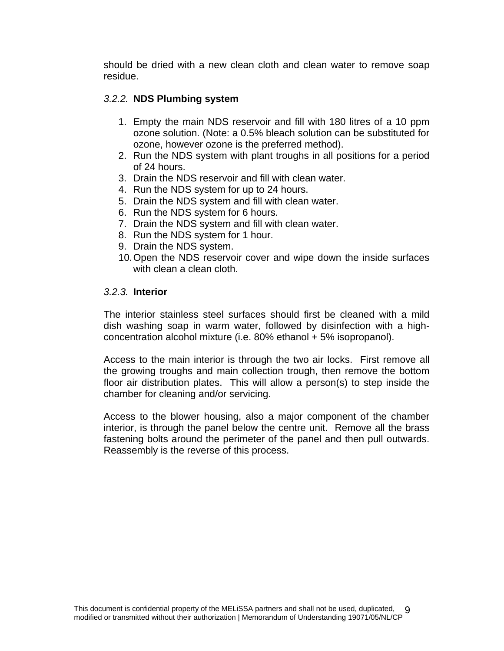should be dried with a new clean cloth and clean water to remove soap residue.

#### *3.2.2.* **NDS Plumbing system**

- 1. Empty the main NDS reservoir and fill with 180 litres of a 10 ppm ozone solution. (Note: a 0.5% bleach solution can be substituted for ozone, however ozone is the preferred method).
- 2. Run the NDS system with plant troughs in all positions for a period of 24 hours.
- 3. Drain the NDS reservoir and fill with clean water.
- 4. Run the NDS system for up to 24 hours.
- 5. Drain the NDS system and fill with clean water.
- 6. Run the NDS system for 6 hours.
- 7. Drain the NDS system and fill with clean water.
- 8. Run the NDS system for 1 hour.
- 9. Drain the NDS system.
- 10. Open the NDS reservoir cover and wipe down the inside surfaces with clean a clean cloth.

#### *3.2.3.* **Interior**

The interior stainless steel surfaces should first be cleaned with a mild dish washing soap in warm water, followed by disinfection with a highconcentration alcohol mixture (i.e. 80% ethanol + 5% isopropanol).

Access to the main interior is through the two air locks. First remove all the growing troughs and main collection trough, then remove the bottom floor air distribution plates. This will allow a person(s) to step inside the chamber for cleaning and/or servicing.

Access to the blower housing, also a major component of the chamber interior, is through the panel below the centre unit. Remove all the brass fastening bolts around the perimeter of the panel and then pull outwards. Reassembly is the reverse of this process.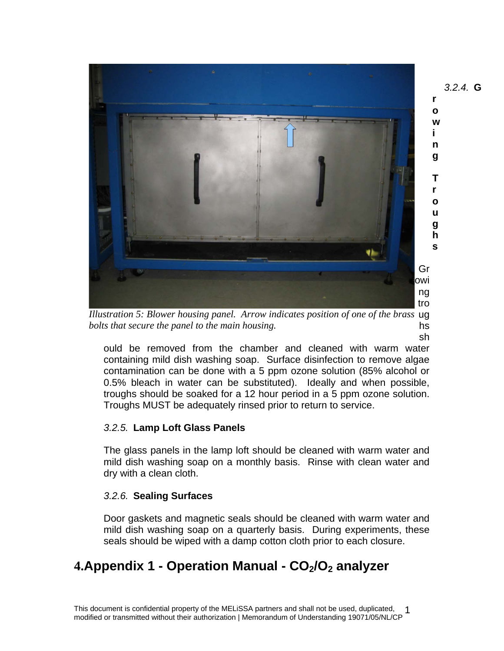

Illustration 5: Blower housing panel. Arrow indicates position of one of the brass ug hs *bolts that secure the panel to the main housing.* 

ould be removed from the chamber and cleaned with warm water containing mild dish washing soap. Surface disinfection to remove algae contamination can be done with a 5 ppm ozone solution (85% alcohol or 0.5% bleach in water can be substituted). Ideally and when possible, troughs should be soaked for a 12 hour period in a 5 ppm ozone solution. Troughs MUST be adequately rinsed prior to return to service.

#### *3.2.5.* **Lamp Loft Glass Panels**

The glass panels in the lamp loft should be cleaned with warm water and mild dish washing soap on a monthly basis. Rinse with clean water and dry with a clean cloth.

#### *3.2.6.* **Sealing Surfaces**

Door gaskets and magnetic seals should be cleaned with warm water and mild dish washing soap on a quarterly basis. During experiments, these seals should be wiped with a damp cotton cloth prior to each closure.

## 4. Appendix 1 - Operation Manual - CO<sub>2</sub>/O<sub>2</sub> analyzer

sh